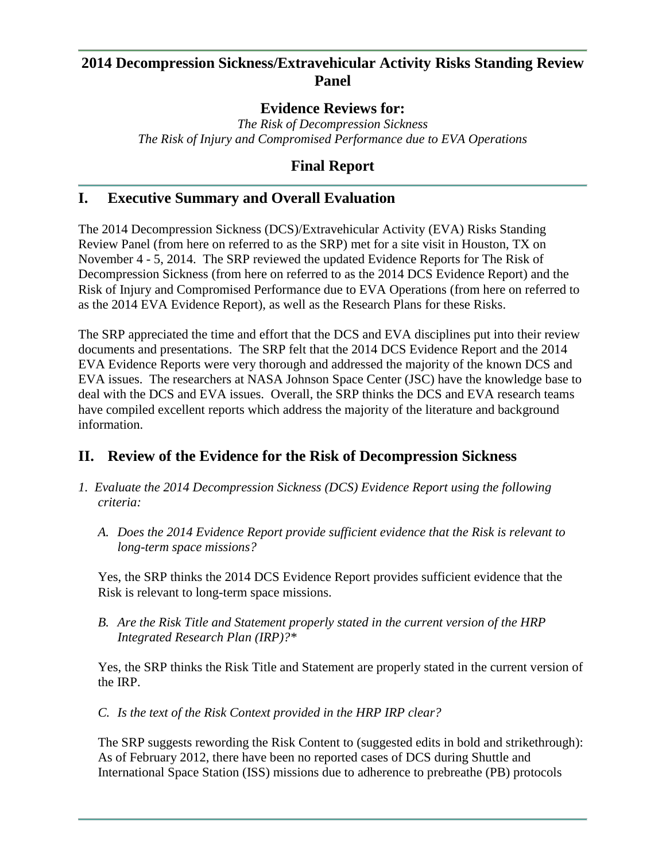## **2014 Decompression Sickness/Extravehicular Activity Risks Standing Review Panel**

## **Evidence Reviews for:**

*The Risk of Decompression Sickness The Risk of Injury and Compromised Performance due to EVA Operations*

# **Final Report**

# **I. Executive Summary and Overall Evaluation**

The 2014 Decompression Sickness (DCS)/Extravehicular Activity (EVA) Risks Standing Review Panel (from here on referred to as the SRP) met for a site visit in Houston, TX on November 4 - 5, 2014. The SRP reviewed the updated Evidence Reports for The Risk of Decompression Sickness (from here on referred to as the 2014 DCS Evidence Report) and the Risk of Injury and Compromised Performance due to EVA Operations (from here on referred to as the 2014 EVA Evidence Report), as well as the Research Plans for these Risks.

The SRP appreciated the time and effort that the DCS and EVA disciplines put into their review documents and presentations. The SRP felt that the 2014 DCS Evidence Report and the 2014 EVA Evidence Reports were very thorough and addressed the majority of the known DCS and EVA issues. The researchers at NASA Johnson Space Center (JSC) have the knowledge base to deal with the DCS and EVA issues. Overall, the SRP thinks the DCS and EVA research teams have compiled excellent reports which address the majority of the literature and background information.

# **II. Review of the Evidence for the Risk of Decompression Sickness**

- *1. Evaluate the 2014 Decompression Sickness (DCS) Evidence Report using the following criteria:*
	- *A. Does the 2014 Evidence Report provide sufficient evidence that the Risk is relevant to long-term space missions?*

Yes, the SRP thinks the 2014 DCS Evidence Report provides sufficient evidence that the Risk is relevant to long-term space missions.

*B. Are the Risk Title and Statement properly stated in the current version of the HRP Integrated Research Plan (IRP)?\**

Yes, the SRP thinks the Risk Title and Statement are properly stated in the current version of the IRP.

*C. Is the text of the Risk Context provided in the HRP IRP clear?*

The SRP suggests rewording the Risk Content to (suggested edits in bold and strikethrough): As of February 2012, there have been no reported cases of DCS during Shuttle and International Space Station (ISS) missions due to adherence to prebreathe (PB) protocols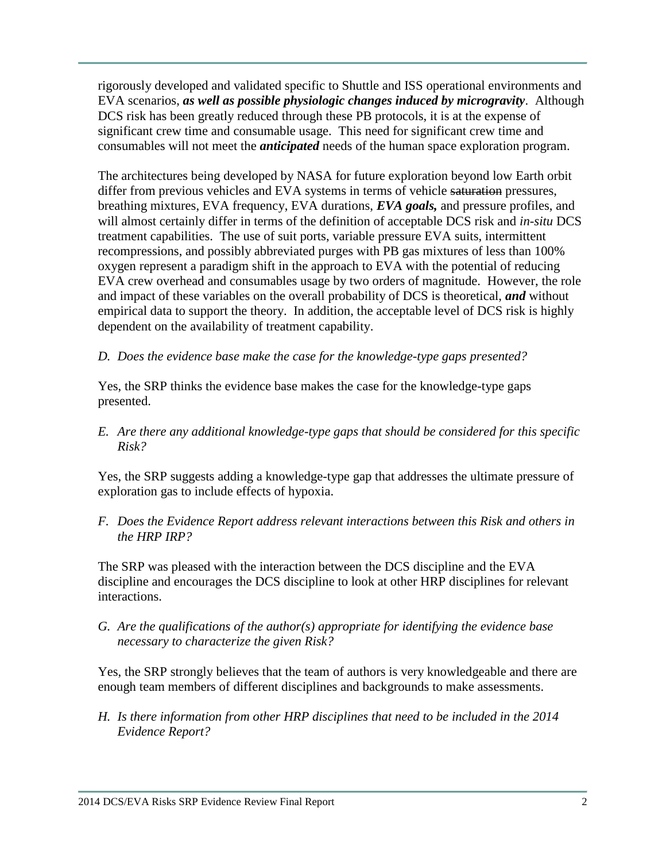rigorously developed and validated specific to Shuttle and ISS operational environments and EVA scenarios, *as well as possible physiologic changes induced by microgravity*. Although DCS risk has been greatly reduced through these PB protocols, it is at the expense of significant crew time and consumable usage. This need for significant crew time and consumables will not meet the *anticipated* needs of the human space exploration program.

The architectures being developed by NASA for future exploration beyond low Earth orbit differ from previous vehicles and EVA systems in terms of vehicle saturation pressures, breathing mixtures, EVA frequency, EVA durations, *EVA goals,* and pressure profiles, and will almost certainly differ in terms of the definition of acceptable DCS risk and *in-situ* DCS treatment capabilities. The use of suit ports, variable pressure EVA suits, intermittent recompressions, and possibly abbreviated purges with PB gas mixtures of less than 100% oxygen represent a paradigm shift in the approach to EVA with the potential of reducing EVA crew overhead and consumables usage by two orders of magnitude. However, the role and impact of these variables on the overall probability of DCS is theoretical, *and* without empirical data to support the theory. In addition, the acceptable level of DCS risk is highly dependent on the availability of treatment capability.

## *D. Does the evidence base make the case for the knowledge-type gaps presented?*

Yes, the SRP thinks the evidence base makes the case for the knowledge-type gaps presented.

*E. Are there any additional knowledge-type gaps that should be considered for this specific Risk?*

Yes, the SRP suggests adding a knowledge-type gap that addresses the ultimate pressure of exploration gas to include effects of hypoxia.

*F. Does the Evidence Report address relevant interactions between this Risk and others in the HRP IRP?*

The SRP was pleased with the interaction between the DCS discipline and the EVA discipline and encourages the DCS discipline to look at other HRP disciplines for relevant interactions.

*G. Are the qualifications of the author(s) appropriate for identifying the evidence base necessary to characterize the given Risk?*

Yes, the SRP strongly believes that the team of authors is very knowledgeable and there are enough team members of different disciplines and backgrounds to make assessments.

*H. Is there information from other HRP disciplines that need to be included in the 2014 Evidence Report?*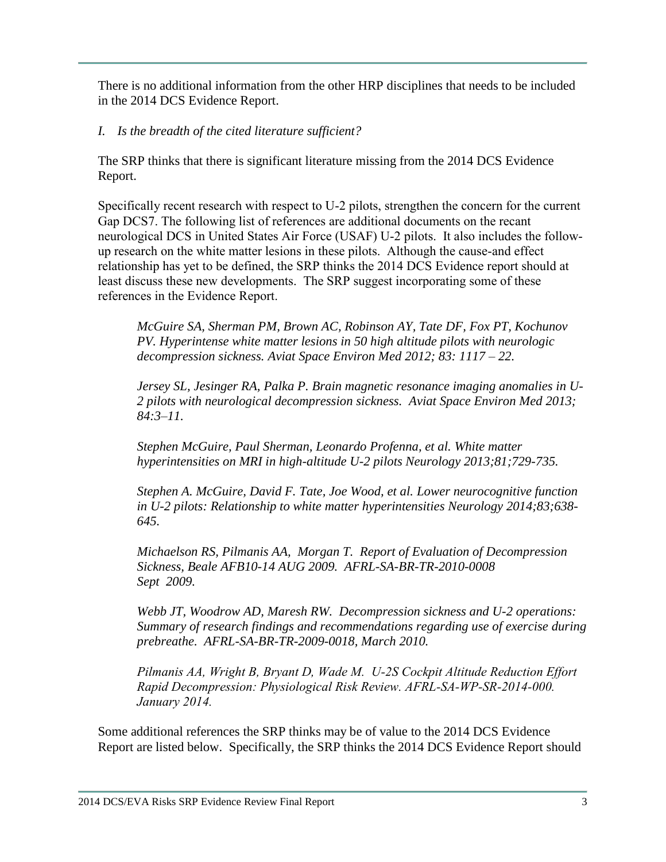There is no additional information from the other HRP disciplines that needs to be included in the 2014 DCS Evidence Report.

*I. Is the breadth of the cited literature sufficient?*

The SRP thinks that there is significant literature missing from the 2014 DCS Evidence Report.

Specifically recent research with respect to U-2 pilots, strengthen the concern for the current Gap DCS7. The following list of references are additional documents on the recant neurological DCS in United States Air Force (USAF) U-2 pilots. It also includes the followup research on the white matter lesions in these pilots. Although the cause-and effect relationship has yet to be defined, the SRP thinks the 2014 DCS Evidence report should at least discuss these new developments. The SRP suggest incorporating some of these references in the Evidence Report.

*McGuire SA, Sherman PM, Brown AC, Robinson AY, Tate DF, Fox PT, Kochunov PV. Hyperintense white matter lesions in 50 high altitude pilots with neurologic decompression sickness. Aviat Space Environ Med 2012; 83: 1117 – 22.*

*Jersey SL, Jesinger RA, Palka P. Brain magnetic resonance imaging anomalies in U-2 pilots with neurological decompression sickness. Aviat Space Environ Med 2013; 84:3–11.*

*Stephen McGuire, Paul Sherman, Leonardo Profenna, et al. White matter hyperintensities on MRI in high-altitude U-2 pilots Neurology 2013;81;729-735.*

*Stephen A. McGuire, David F. Tate, Joe Wood, et al. Lower neurocognitive function in U-2 pilots: Relationship to white matter hyperintensities Neurology 2014;83;638- 645.*

*Michaelson RS, Pilmanis AA, Morgan T. Report of Evaluation of Decompression Sickness, Beale AFB10-14 AUG 2009. AFRL-SA-BR-TR-2010-0008 Sept 2009.*

*Webb JT, Woodrow AD, Maresh RW. Decompression sickness and U-2 operations: Summary of research findings and recommendations regarding use of exercise during prebreathe. AFRL-SA-BR-TR-2009-0018, March 2010.*

*Pilmanis AA, Wright B, Bryant D, Wade M. U-2S Cockpit Altitude Reduction Effort Rapid Decompression: Physiological Risk Review. AFRL-SA-WP-SR-2014-000. January 2014.*

Some additional references the SRP thinks may be of value to the 2014 DCS Evidence Report are listed below. Specifically, the SRP thinks the 2014 DCS Evidence Report should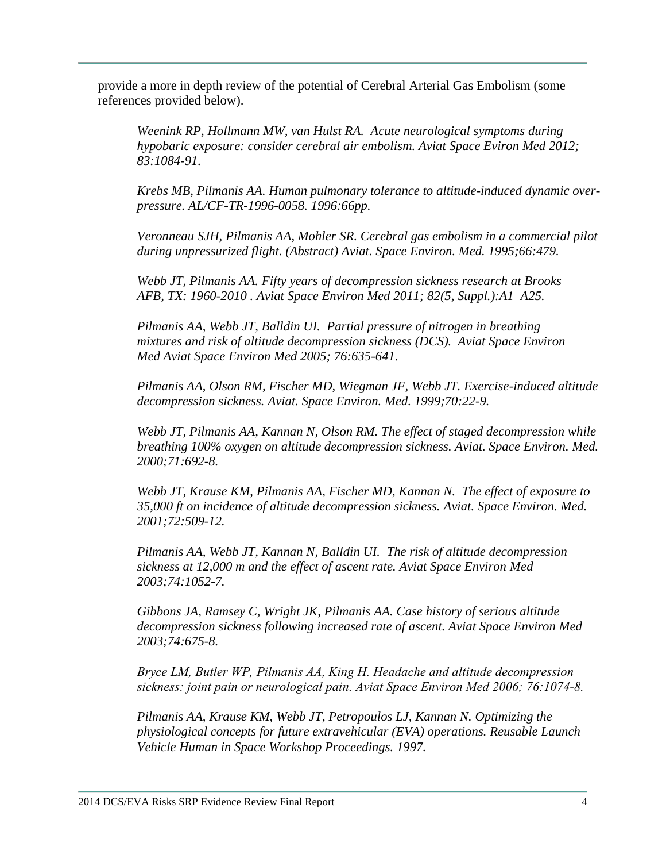provide a more in depth review of the potential of Cerebral Arterial Gas Embolism (some references provided below).

*Weenink RP, Hollmann MW, van Hulst RA. Acute neurological symptoms during hypobaric exposure: consider cerebral air embolism. Aviat Space Eviron Med 2012; 83:1084-91.*

*Krebs MB, Pilmanis AA. Human pulmonary tolerance to altitude-induced dynamic overpressure. AL/CF-TR-1996-0058. 1996:66pp.*

*Veronneau SJH, Pilmanis AA, Mohler SR. Cerebral gas embolism in a commercial pilot during unpressurized flight. (Abstract) Aviat. Space Environ. Med. 1995;66:479.*

*Webb JT, Pilmanis AA. Fifty years of decompression sickness research at Brooks AFB, TX: 1960-2010 . Aviat Space Environ Med 2011; 82(5, Suppl.):A1–A25.*

*Pilmanis AA, Webb JT, Balldin UI. Partial pressure of nitrogen in breathing mixtures and risk of altitude decompression sickness (DCS). Aviat Space Environ Med Aviat Space Environ Med 2005; 76:635-641.*

*Pilmanis AA, Olson RM, Fischer MD, Wiegman JF, Webb JT. Exercise-induced altitude decompression sickness. Aviat. Space Environ. Med. 1999;70:22-9.*

*Webb JT, Pilmanis AA, Kannan N, Olson RM. The effect of staged decompression while breathing 100% oxygen on altitude decompression sickness. Aviat. Space Environ. Med. 2000;71:692-8.*

*Webb JT, Krause KM, Pilmanis AA, Fischer MD, Kannan N. The effect of exposure to 35,000 ft on incidence of altitude decompression sickness. Aviat. Space Environ. Med. 2001;72:509-12.*

*Pilmanis AA, Webb JT, Kannan N, Balldin UI. The risk of altitude decompression sickness at 12,000 m and the effect of ascent rate. Aviat Space Environ Med 2003;74:1052-7.*

*Gibbons JA, Ramsey C, Wright JK, Pilmanis AA. Case history of serious altitude decompression sickness following increased rate of ascent. Aviat Space Environ Med 2003;74:675-8.*

*Bryce LM, Butler WP, Pilmanis AA, King H. Headache and altitude decompression sickness: joint pain or neurological pain. Aviat Space Environ Med 2006; 76:1074-8.*

*Pilmanis AA, Krause KM, Webb JT, Petropoulos LJ, Kannan N. Optimizing the physiological concepts for future extravehicular (EVA) operations. Reusable Launch Vehicle Human in Space Workshop Proceedings. 1997.*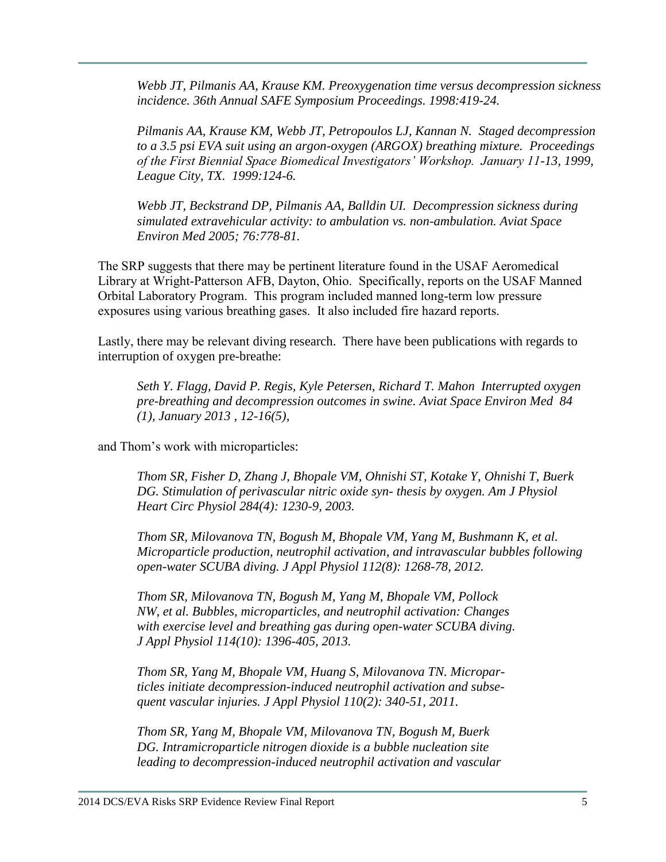*Webb JT, Pilmanis AA, Krause KM. Preoxygenation time versus decompression sickness incidence. 36th Annual SAFE Symposium Proceedings. 1998:419-24.*

*Pilmanis AA, Krause KM, Webb JT, Petropoulos LJ, Kannan N. Staged decompression to a 3.5 psi EVA suit using an argon-oxygen (ARGOX) breathing mixture. Proceedings of the First Biennial Space Biomedical Investigators' Workshop. January 11-13, 1999, League City, TX. 1999:124-6.*

*Webb JT, Beckstrand DP, Pilmanis AA, Balldin UI. Decompression sickness during simulated extravehicular activity: to ambulation vs. non-ambulation. Aviat Space Environ Med 2005; 76:778-81.*

The SRP suggests that there may be pertinent literature found in the USAF Aeromedical Library at Wright-Patterson AFB, Dayton, Ohio. Specifically, reports on the USAF Manned Orbital Laboratory Program. This program included manned long-term low pressure exposures using various breathing gases. It also included fire hazard reports.

Lastly, there may be relevant diving research. There have been publications with regards to interruption of oxygen pre-breathe:

*Seth Y. Flagg, David P. Regis, Kyle Petersen, Richard T. Mahon Interrupted oxygen pre-breathing and decompression outcomes in swine. Aviat Space Environ Med 84 (1), January 2013 , 12-16(5),* 

and Thom's work with microparticles:

*Thom SR, Fisher D, Zhang J, Bhopale VM, Ohnishi ST, Kotake Y, Ohnishi T, Buerk DG. Stimulation of perivascular nitric oxide syn- thesis by oxygen. Am J Physiol Heart Circ Physiol 284(4): 1230-9, 2003.*

*Thom SR, Milovanova TN, Bogush M, Bhopale VM, Yang M, Bushmann K, et al. Microparticle production, neutrophil activation, and intravascular bubbles following open-water SCUBA diving. J Appl Physiol 112(8): 1268-78, 2012.*

*Thom SR, Milovanova TN, Bogush M, Yang M, Bhopale VM, Pollock NW, et al. Bubbles, microparticles, and neutrophil activation: Changes with exercise level and breathing gas during open-water SCUBA diving. J Appl Physiol 114(10): 1396-405, 2013.*

*Thom SR, Yang M, Bhopale VM, Huang S, Milovanova TN. Microparticles initiate decompression-induced neutrophil activation and subsequent vascular injuries. J Appl Physiol 110(2): 340-51, 2011.*

*Thom SR, Yang M, Bhopale VM, Milovanova TN, Bogush M, Buerk DG. Intramicroparticle nitrogen dioxide is a bubble nucleation site leading to decompression-induced neutrophil activation and vascular*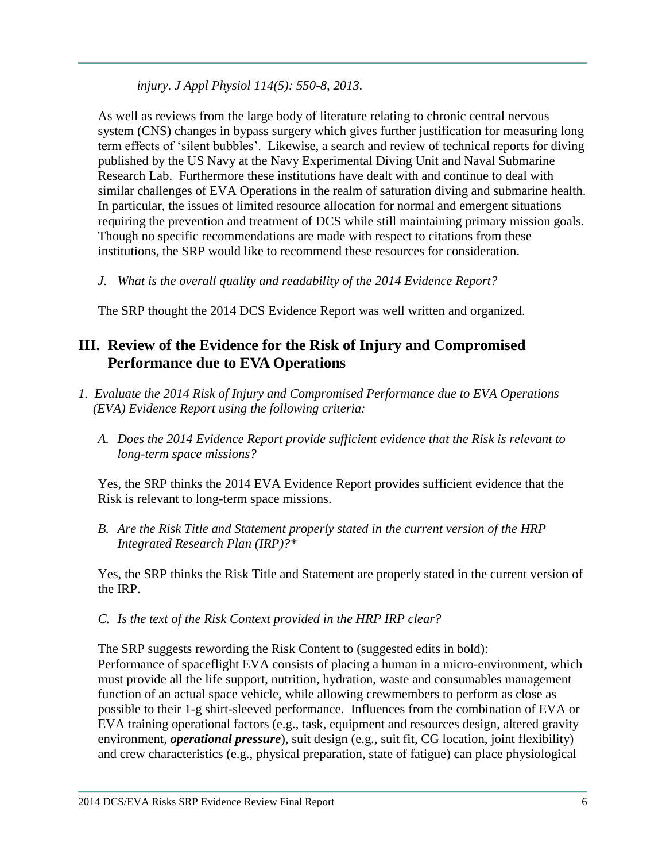*injury. J Appl Physiol 114(5): 550-8, 2013.*

As well as reviews from the large body of literature relating to chronic central nervous system (CNS) changes in bypass surgery which gives further justification for measuring long term effects of 'silent bubbles'. Likewise, a search and review of technical reports for diving published by the US Navy at the Navy Experimental Diving Unit and Naval Submarine Research Lab. Furthermore these institutions have dealt with and continue to deal with similar challenges of EVA Operations in the realm of saturation diving and submarine health. In particular, the issues of limited resource allocation for normal and emergent situations requiring the prevention and treatment of DCS while still maintaining primary mission goals. Though no specific recommendations are made with respect to citations from these institutions, the SRP would like to recommend these resources for consideration.

*J. What is the overall quality and readability of the 2014 Evidence Report?*

The SRP thought the 2014 DCS Evidence Report was well written and organized.

# **III. Review of the Evidence for the Risk of Injury and Compromised Performance due to EVA Operations**

- *1. Evaluate the 2014 Risk of Injury and Compromised Performance due to EVA Operations (EVA) Evidence Report using the following criteria:*
	- *A. Does the 2014 Evidence Report provide sufficient evidence that the Risk is relevant to long-term space missions?*

Yes, the SRP thinks the 2014 EVA Evidence Report provides sufficient evidence that the Risk is relevant to long-term space missions.

*B. Are the Risk Title and Statement properly stated in the current version of the HRP Integrated Research Plan (IRP)?\**

Yes, the SRP thinks the Risk Title and Statement are properly stated in the current version of the IRP.

*C. Is the text of the Risk Context provided in the HRP IRP clear?*

The SRP suggests rewording the Risk Content to (suggested edits in bold): Performance of spaceflight EVA consists of placing a human in a micro-environment, which must provide all the life support, nutrition, hydration, waste and consumables management function of an actual space vehicle, while allowing crewmembers to perform as close as possible to their 1-g shirt-sleeved performance. Influences from the combination of EVA or EVA training operational factors (e.g., task, equipment and resources design, altered gravity environment, *operational pressure*), suit design (e.g., suit fit, CG location, joint flexibility) and crew characteristics (e.g., physical preparation, state of fatigue) can place physiological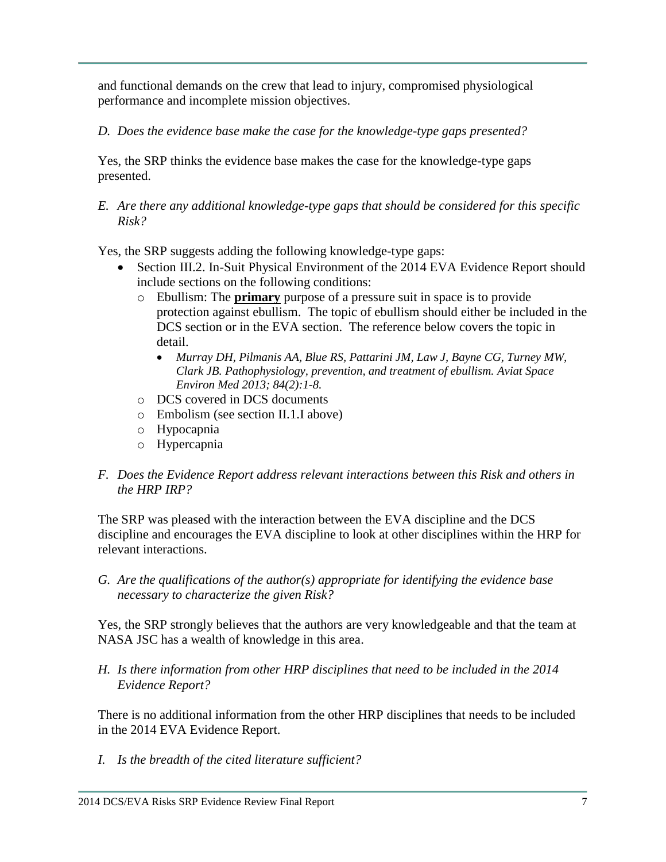and functional demands on the crew that lead to injury, compromised physiological performance and incomplete mission objectives.

## *D. Does the evidence base make the case for the knowledge-type gaps presented?*

Yes, the SRP thinks the evidence base makes the case for the knowledge-type gaps presented.

*E. Are there any additional knowledge-type gaps that should be considered for this specific Risk?*

Yes, the SRP suggests adding the following knowledge-type gaps:

- Section III.2. In-Suit Physical Environment of the 2014 EVA Evidence Report should include sections on the following conditions:
	- o Ebullism: The **primary** purpose of a pressure suit in space is to provide protection against ebullism. The topic of ebullism should either be included in the DCS section or in the EVA section. The reference below covers the topic in detail.
		- *Murray DH, Pilmanis AA, Blue RS, Pattarini JM, Law J, Bayne CG, Turney MW, Clark JB. Pathophysiology, prevention, and treatment of ebullism. Aviat Space Environ Med 2013; 84(2):1-8.*
	- o DCS covered in DCS documents
	- o Embolism (see section II.1.I above)
	- o Hypocapnia
	- o Hypercapnia

## *F. Does the Evidence Report address relevant interactions between this Risk and others in the HRP IRP?*

The SRP was pleased with the interaction between the EVA discipline and the DCS discipline and encourages the EVA discipline to look at other disciplines within the HRP for relevant interactions.

*G. Are the qualifications of the author(s) appropriate for identifying the evidence base necessary to characterize the given Risk?*

Yes, the SRP strongly believes that the authors are very knowledgeable and that the team at NASA JSC has a wealth of knowledge in this area.

*H. Is there information from other HRP disciplines that need to be included in the 2014 Evidence Report?*

There is no additional information from the other HRP disciplines that needs to be included in the 2014 EVA Evidence Report.

*I. Is the breadth of the cited literature sufficient?*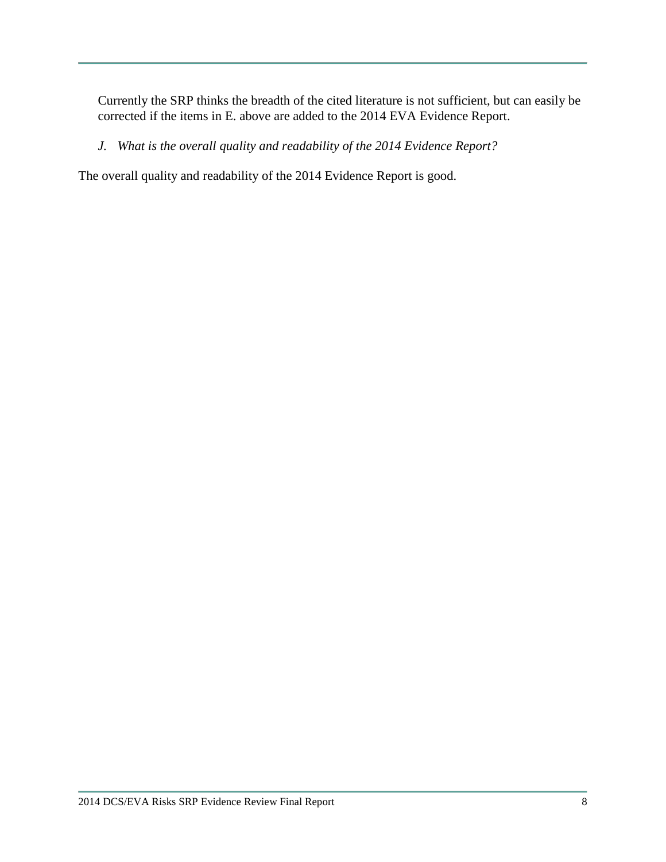Currently the SRP thinks the breadth of the cited literature is not sufficient, but can easily be corrected if the items in E. above are added to the 2014 EVA Evidence Report.

*J. What is the overall quality and readability of the 2014 Evidence Report?*

The overall quality and readability of the 2014 Evidence Report is good.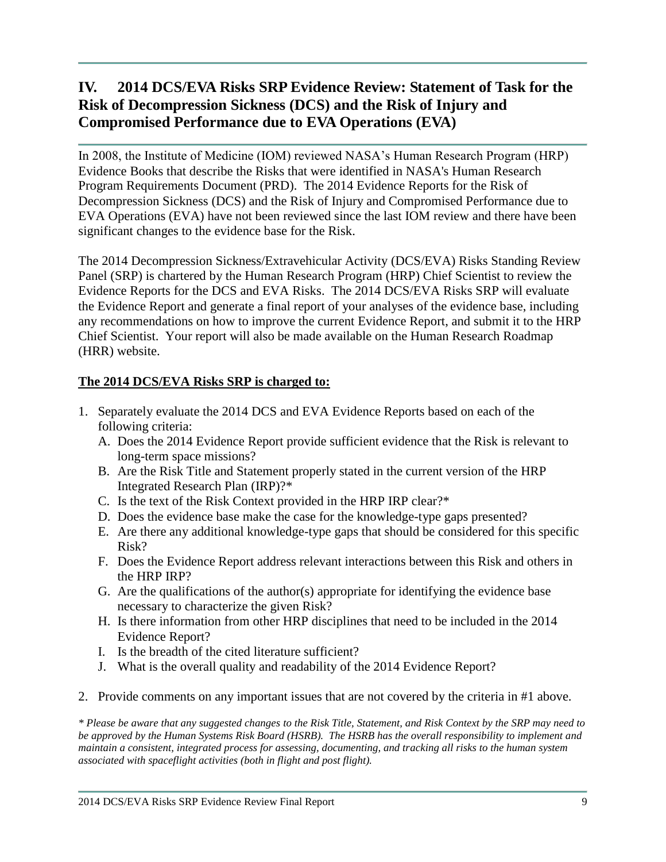# **IV. 2014 DCS/EVA Risks SRP Evidence Review: Statement of Task for the Risk of Decompression Sickness (DCS) and the Risk of Injury and Compromised Performance due to EVA Operations (EVA)**

In 2008, the Institute of Medicine (IOM) reviewed NASA's Human Research Program (HRP) Evidence Books that describe the Risks that were identified in NASA's Human Research Program Requirements Document (PRD). The 2014 Evidence Reports for the Risk of Decompression Sickness (DCS) and the Risk of Injury and Compromised Performance due to EVA Operations (EVA) have not been reviewed since the last IOM review and there have been significant changes to the evidence base for the Risk.

The 2014 Decompression Sickness/Extravehicular Activity (DCS/EVA) Risks Standing Review Panel (SRP) is chartered by the Human Research Program (HRP) Chief Scientist to review the Evidence Reports for the DCS and EVA Risks. The 2014 DCS/EVA Risks SRP will evaluate the Evidence Report and generate a final report of your analyses of the evidence base, including any recommendations on how to improve the current Evidence Report, and submit it to the HRP Chief Scientist. Your report will also be made available on the Human Research Roadmap (HRR) website.

## **The 2014 DCS/EVA Risks SRP is charged to:**

- 1. Separately evaluate the 2014 DCS and EVA Evidence Reports based on each of the following criteria:
	- A. Does the 2014 Evidence Report provide sufficient evidence that the Risk is relevant to long-term space missions?
	- B. Are the Risk Title and Statement properly stated in the current version of the HRP Integrated Research Plan (IRP)?\*
	- C. Is the text of the Risk Context provided in the HRP IRP clear?\*
	- D. Does the evidence base make the case for the knowledge-type gaps presented?
	- E. Are there any additional knowledge-type gaps that should be considered for this specific Risk?
	- F. Does the Evidence Report address relevant interactions between this Risk and others in the HRP IRP?
	- G. Are the qualifications of the author(s) appropriate for identifying the evidence base necessary to characterize the given Risk?
	- H. Is there information from other HRP disciplines that need to be included in the 2014 Evidence Report?
	- I. Is the breadth of the cited literature sufficient?
	- J. What is the overall quality and readability of the 2014 Evidence Report?
- 2. Provide comments on any important issues that are not covered by the criteria in #1 above.

*\* Please be aware that any suggested changes to the Risk Title, Statement, and Risk Context by the SRP may need to be approved by the Human Systems Risk Board (HSRB). The HSRB has the overall responsibility to implement and maintain a consistent, integrated process for assessing, documenting, and tracking all risks to the human system associated with spaceflight activities (both in flight and post flight).*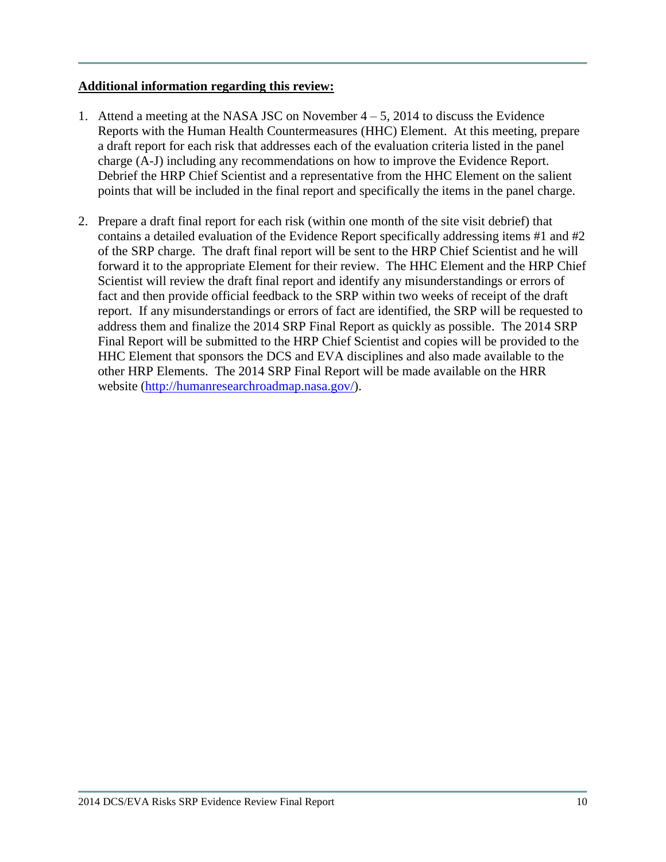### **Additional information regarding this review:**

- 1. Attend a meeting at the NASA JSC on November  $4-5$ , 2014 to discuss the Evidence Reports with the Human Health Countermeasures (HHC) Element. At this meeting, prepare a draft report for each risk that addresses each of the evaluation criteria listed in the panel charge (A-J) including any recommendations on how to improve the Evidence Report. Debrief the HRP Chief Scientist and a representative from the HHC Element on the salient points that will be included in the final report and specifically the items in the panel charge.
- 2. Prepare a draft final report for each risk (within one month of the site visit debrief) that contains a detailed evaluation of the Evidence Report specifically addressing items #1 and #2 of the SRP charge. The draft final report will be sent to the HRP Chief Scientist and he will forward it to the appropriate Element for their review. The HHC Element and the HRP Chief Scientist will review the draft final report and identify any misunderstandings or errors of fact and then provide official feedback to the SRP within two weeks of receipt of the draft report. If any misunderstandings or errors of fact are identified, the SRP will be requested to address them and finalize the 2014 SRP Final Report as quickly as possible. The 2014 SRP Final Report will be submitted to the HRP Chief Scientist and copies will be provided to the HHC Element that sponsors the DCS and EVA disciplines and also made available to the other HRP Elements. The 2014 SRP Final Report will be made available on the HRR website [\(http://humanresearchroadmap.nasa.gov/\)](http://humanresearchroadmap.nasa.gov/).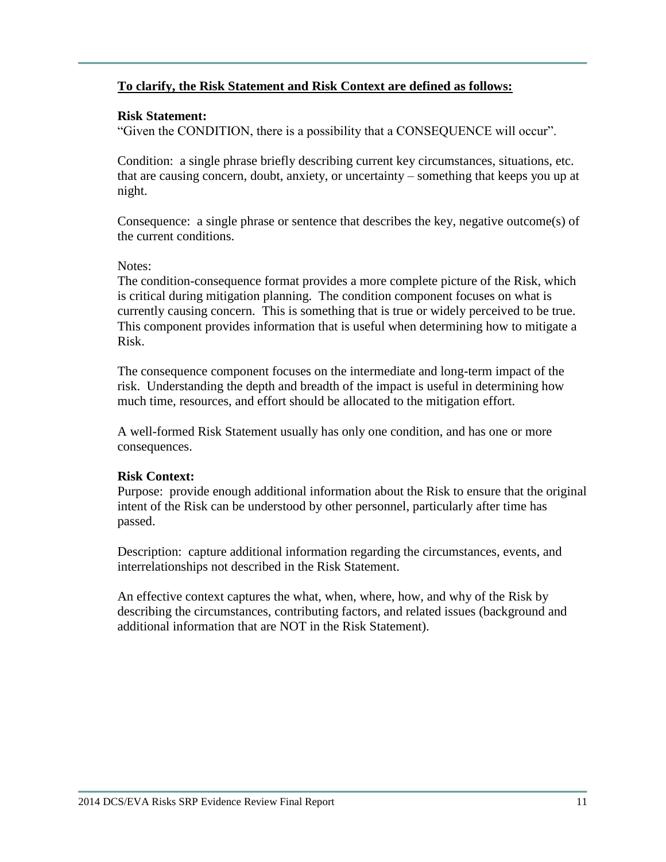## **To clarify, the Risk Statement and Risk Context are defined as follows:**

### **Risk Statement:**

"Given the CONDITION, there is a possibility that a CONSEQUENCE will occur".

Condition: a single phrase briefly describing current key circumstances, situations, etc. that are causing concern, doubt, anxiety, or uncertainty – something that keeps you up at night.

Consequence: a single phrase or sentence that describes the key, negative outcome(s) of the current conditions.

#### Notes:

The condition-consequence format provides a more complete picture of the Risk, which is critical during mitigation planning. The condition component focuses on what is currently causing concern. This is something that is true or widely perceived to be true. This component provides information that is useful when determining how to mitigate a Risk.

The consequence component focuses on the intermediate and long-term impact of the risk. Understanding the depth and breadth of the impact is useful in determining how much time, resources, and effort should be allocated to the mitigation effort.

A well-formed Risk Statement usually has only one condition, and has one or more consequences.

#### **Risk Context:**

Purpose: provide enough additional information about the Risk to ensure that the original intent of the Risk can be understood by other personnel, particularly after time has passed.

Description: capture additional information regarding the circumstances, events, and interrelationships not described in the Risk Statement.

An effective context captures the what, when, where, how, and why of the Risk by describing the circumstances, contributing factors, and related issues (background and additional information that are NOT in the Risk Statement).